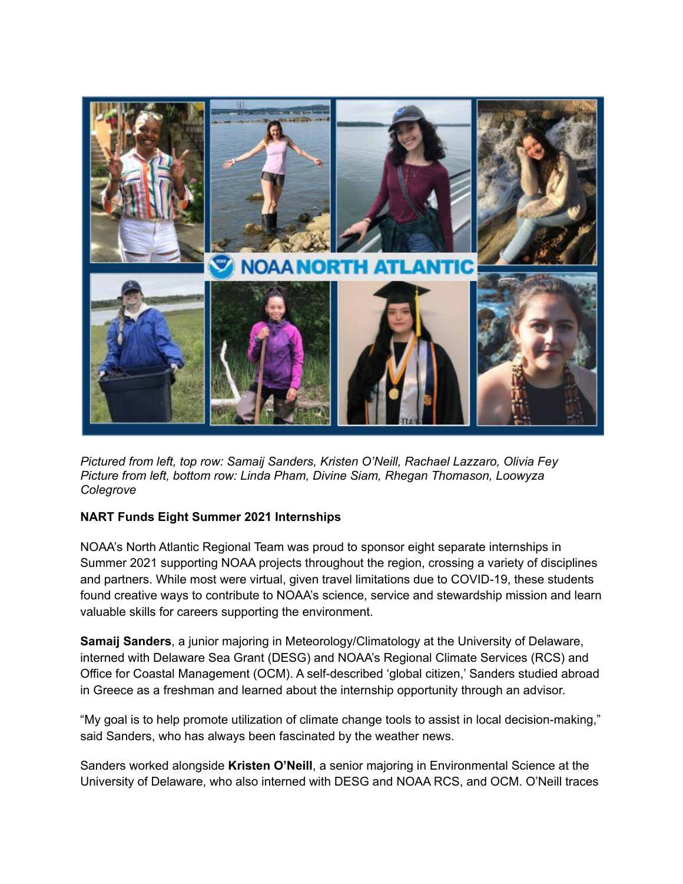

*Pictured from left, top row: Samaij Sanders, Kristen O'Neill, Rachael Lazzaro, Olivia Fey Picture from left, bottom row: Linda Pham, Divine Siam, Rhegan Thomason, Loowyza Colegrove*

## **NART Funds Eight Summer 2021 Internships**

NOAA's North Atlantic Regional Team was proud to sponsor eight separate internships in Summer 2021 supporting NOAA projects throughout the region, crossing a variety of disciplines and partners. While most were virtual, given travel limitations due to COVID-19, these students found creative ways to contribute to NOAA's science, service and stewardship mission and learn valuable skills for careers supporting the environment.

**Samaij Sanders**, a junior majoring in Meteorology/Climatology at the University of Delaware, interned with Delaware Sea Grant (DESG) and NOAA's Regional Climate Services (RCS) and Office for Coastal Management (OCM). A self-described 'global citizen,' Sanders studied abroad in Greece as a freshman and learned about the internship opportunity through an advisor.

"My goal is to help promote utilization of climate change tools to assist in local decision-making," said Sanders, who has always been fascinated by the weather news.

Sanders worked alongside **Kristen O'Neill**, a senior majoring in Environmental Science at the University of Delaware, who also interned with DESG and NOAA RCS, and OCM. O'Neill traces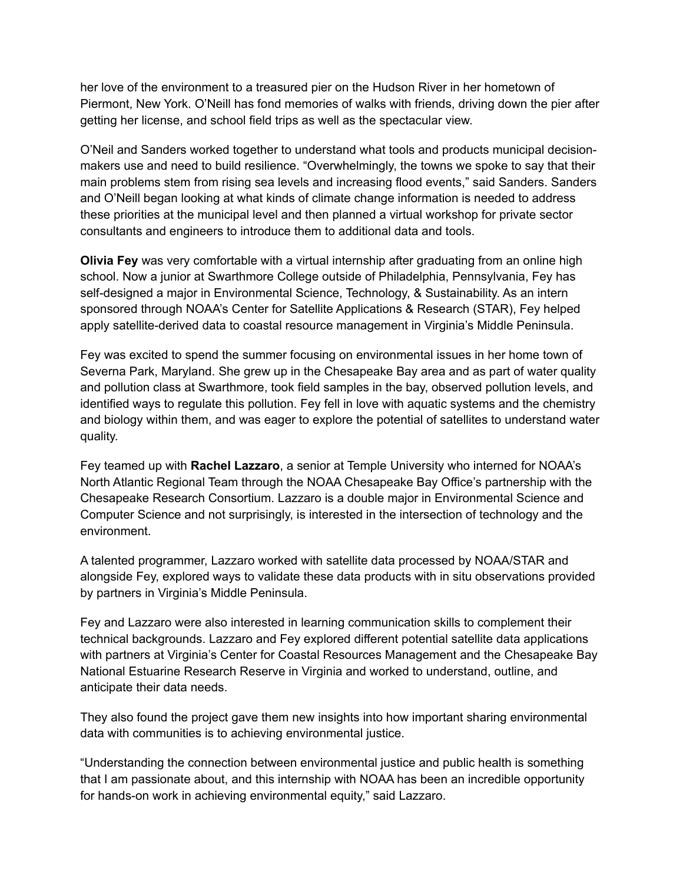her love of the environment to a treasured pier on the Hudson River in her hometown of Piermont, New York. O'Neill has fond memories of walks with friends, driving down the pier after getting her license, and school field trips as well as the spectacular view.

O'Neil and Sanders worked together to understand what tools and products municipal decisionmakers use and need to build resilience. "Overwhelmingly, the towns we spoke to say that their main problems stem from rising sea levels and increasing flood events," said Sanders. Sanders and O'Neill began looking at what kinds of climate change information is needed to address these priorities at the municipal level and then planned a virtual workshop for private sector consultants and engineers to introduce them to additional data and tools.

**Olivia Fey** was very comfortable with a virtual internship after graduating from an online high school. Now a junior at Swarthmore College outside of Philadelphia, Pennsylvania, Fey has self-designed a major in Environmental Science, Technology, & Sustainability. As an intern sponsored through NOAA's Center for Satellite Applications & Research (STAR), Fey helped apply satellite-derived data to coastal resource management in Virginia's Middle Peninsula.

Fey was excited to spend the summer focusing on environmental issues in her home town of Severna Park, Maryland. She grew up in the Chesapeake Bay area and as part of water quality and pollution class at Swarthmore, took field samples in the bay, observed pollution levels, and identified ways to regulate this pollution. Fey fell in love with aquatic systems and the chemistry and biology within them, and was eager to explore the potential of satellites to understand water quality.

Fey teamed up with **Rachel Lazzaro**, a senior at Temple University who interned for NOAA's North Atlantic Regional Team through the NOAA Chesapeake Bay Office's partnership with the Chesapeake Research Consortium. Lazzaro is a double major in Environmental Science and Computer Science and not surprisingly, is interested in the intersection of technology and the environment.

A talented programmer, Lazzaro worked with satellite data processed by NOAA/STAR and alongside Fey, explored ways to validate these data products with in situ observations provided by partners in Virginia's Middle Peninsula.

Fey and Lazzaro were also interested in learning communication skills to complement their technical backgrounds. Lazzaro and Fey explored different potential satellite data applications with partners at Virginia's Center for Coastal Resources Management and the Chesapeake Bay National Estuarine Research Reserve in Virginia and worked to understand, outline, and anticipate their data needs.

They also found the project gave them new insights into how important sharing environmental data with communities is to achieving environmental justice.

"Understanding the connection between environmental justice and public health is something that I am passionate about, and this internship with NOAA has been an incredible opportunity for hands-on work in achieving environmental equity," said Lazzaro.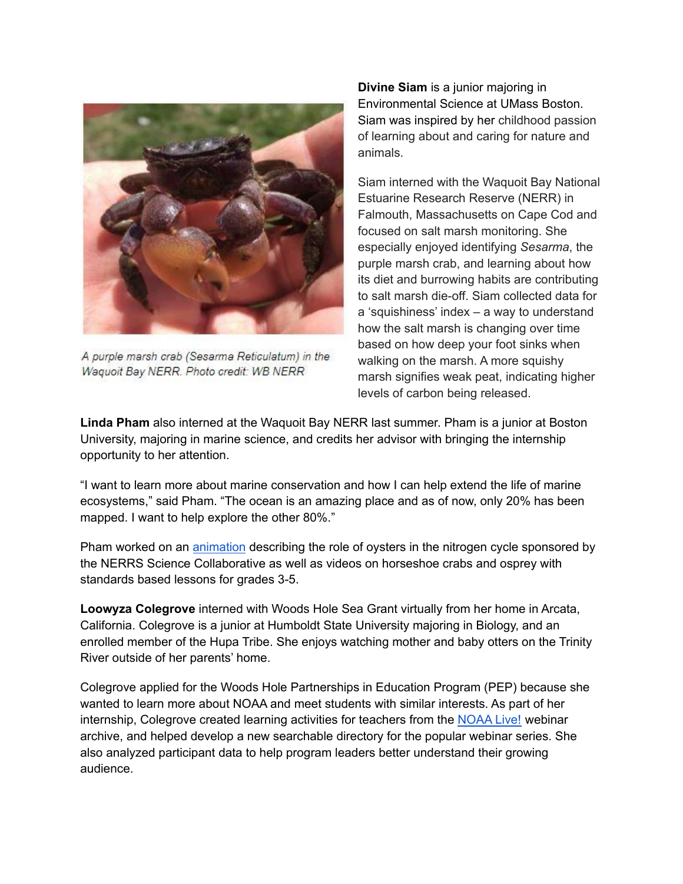

A purple marsh crab (Sesarma Reticulatum) in the Waquoit Bay NERR. Photo credit: WB NERR

**Divine Siam** is a junior majoring in Environmental Science at UMass Boston. Siam was inspired by her childhood passion of learning about and caring for nature and animals.

Siam interned with the Waquoit Bay National Estuarine Research Reserve (NERR) in Falmouth, Massachusetts on Cape Cod and focused on salt marsh monitoring. She especially enjoyed identifying *Sesarma*, the purple marsh crab, and learning about how its diet and burrowing habits are contributing to salt marsh die-off. Siam collected data for a 'squishiness' index – a way to understand how the salt marsh is changing over time based on how deep your foot sinks when walking on the marsh. A more squishy marsh signifies weak peat, indicating higher levels of carbon being released.

**Linda Pham** also interned at the Waquoit Bay NERR last summer. Pham is a junior at Boston University, majoring in marine science, and credits her advisor with bringing the internship opportunity to her attention.

"I want to learn more about marine conservation and how I can help extend the life of marine ecosystems," said Pham. "The ocean is an amazing place and as of now, only 20% has been mapped. I want to help explore the other 80%."

Pham worked on an [animation](https://youtu.be/Y9IqdsXtCNA) describing the role of oysters in the nitrogen cycle sponsored by the NERRS Science Collaborative as well as videos on horseshoe crabs and osprey with standards based lessons for grades 3-5.

**Loowyza Colegrove** interned with Woods Hole Sea Grant virtually from her home in Arcata, California. Colegrove is a junior at Humboldt State University majoring in Biology, and an enrolled member of the Hupa Tribe. She enjoys watching mother and baby otters on the Trinity River outside of her parents' home.

Colegrove applied for the Woods Hole Partnerships in Education Program (PEP) because she wanted to learn more about NOAA and meet students with similar interests. As part of her internship, Colegrove created learning activities for teachers from the [NOAA](https://seagrant.whoi.edu/noaa-live-webinars/) Live! webinar archive, and helped develop a new searchable directory for the popular webinar series. She also analyzed participant data to help program leaders better understand their growing audience.